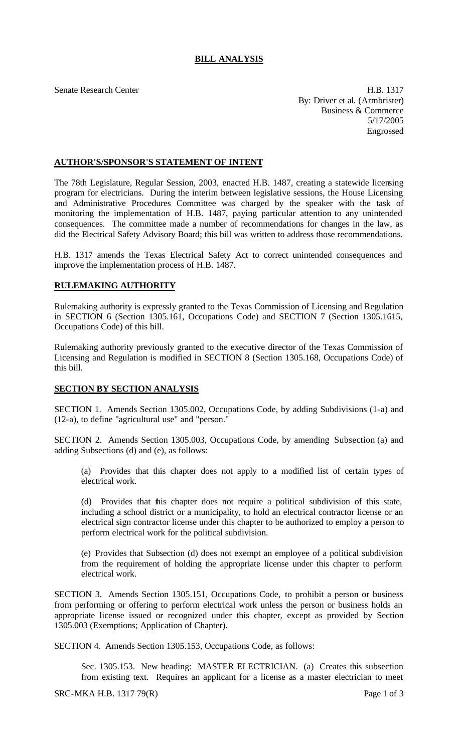## **BILL ANALYSIS**

Senate Research Center **H.B. 1317** By: Driver et al. (Armbrister) Business & Commerce 5/17/2005 Engrossed

## **AUTHOR'S/SPONSOR'S STATEMENT OF INTENT**

The 78th Legislature, Regular Session, 2003, enacted H.B. 1487, creating a statewide licensing program for electricians. During the interim between legislative sessions, the House Licensing and Administrative Procedures Committee was charged by the speaker with the task of monitoring the implementation of H.B. 1487, paying particular attention to any unintended consequences. The committee made a number of recommendations for changes in the law, as did the Electrical Safety Advisory Board; this bill was written to address those recommendations.

H.B. 1317 amends the Texas Electrical Safety Act to correct unintended consequences and improve the implementation process of H.B. 1487.

## **RULEMAKING AUTHORITY**

Rulemaking authority is expressly granted to the Texas Commission of Licensing and Regulation in SECTION 6 (Section 1305.161, Occupations Code) and SECTION 7 (Section 1305.1615, Occupations Code) of this bill.

Rulemaking authority previously granted to the executive director of the Texas Commission of Licensing and Regulation is modified in SECTION 8 (Section 1305.168, Occupations Code) of this bill.

## **SECTION BY SECTION ANALYSIS**

SECTION 1. Amends Section 1305.002, Occupations Code, by adding Subdivisions (1-a) and (12-a), to define "agricultural use" and "person."

SECTION 2. Amends Section 1305.003, Occupations Code, by amending Subsection (a) and adding Subsections (d) and (e), as follows:

(a) Provides that this chapter does not apply to a modified list of certain types of electrical work.

(d) Provides that this chapter does not require a political subdivision of this state, including a school district or a municipality, to hold an electrical contractor license or an electrical sign contractor license under this chapter to be authorized to employ a person to perform electrical work for the political subdivision.

(e) Provides that Subsection (d) does not exempt an employee of a political subdivision from the requirement of holding the appropriate license under this chapter to perform electrical work.

SECTION 3. Amends Section 1305.151, Occupations Code, to prohibit a person or business from performing or offering to perform electrical work unless the person or business holds an appropriate license issued or recognized under this chapter, except as provided by Section 1305.003 (Exemptions; Application of Chapter).

SECTION 4. Amends Section 1305.153, Occupations Code, as follows:

Sec. 1305.153. New heading: MASTER ELECTRICIAN. (a) Creates this subsection from existing text. Requires an applicant for a license as a master electrician to meet

 $SRC-MKA H.B. 131779(R)$  Page 1 of 3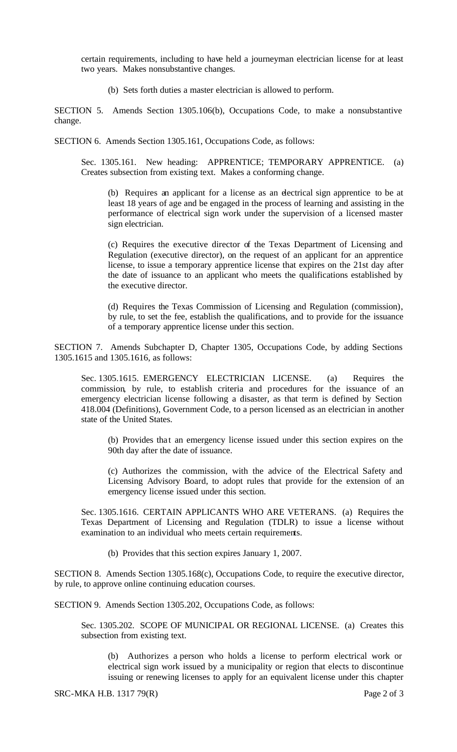certain requirements, including to have held a journeyman electrician license for at least two years. Makes nonsubstantive changes.

(b) Sets forth duties a master electrician is allowed to perform.

SECTION 5. Amends Section 1305.106(b), Occupations Code, to make a nonsubstantive change.

SECTION 6. Amends Section 1305.161, Occupations Code, as follows:

Sec. 1305.161. New heading: APPRENTICE; TEMPORARY APPRENTICE. (a) Creates subsection from existing text. Makes a conforming change.

(b) Requires an applicant for a license as an electrical sign apprentice to be at least 18 years of age and be engaged in the process of learning and assisting in the performance of electrical sign work under the supervision of a licensed master sign electrician.

(c) Requires the executive director of the Texas Department of Licensing and Regulation (executive director), on the request of an applicant for an apprentice license, to issue a temporary apprentice license that expires on the 21st day after the date of issuance to an applicant who meets the qualifications established by the executive director.

(d) Requires the Texas Commission of Licensing and Regulation (commission), by rule, to set the fee, establish the qualifications, and to provide for the issuance of a temporary apprentice license under this section.

SECTION 7. Amends Subchapter D, Chapter 1305, Occupations Code, by adding Sections 1305.1615 and 1305.1616, as follows:

Sec. 1305.1615. EMERGENCY ELECTRICIAN LICENSE. (a) Requires the commission, by rule, to establish criteria and procedures for the issuance of an emergency electrician license following a disaster, as that term is defined by Section 418.004 (Definitions), Government Code, to a person licensed as an electrician in another state of the United States.

(b) Provides that an emergency license issued under this section expires on the 90th day after the date of issuance.

(c) Authorizes the commission, with the advice of the Electrical Safety and Licensing Advisory Board, to adopt rules that provide for the extension of an emergency license issued under this section.

Sec. 1305.1616. CERTAIN APPLICANTS WHO ARE VETERANS. (a) Requires the Texas Department of Licensing and Regulation (TDLR) to issue a license without examination to an individual who meets certain requirements.

(b) Provides that this section expires January 1, 2007.

SECTION 8. Amends Section 1305.168(c), Occupations Code, to require the executive director, by rule, to approve online continuing education courses.

SECTION 9. Amends Section 1305.202, Occupations Code, as follows:

Sec. 1305.202. SCOPE OF MUNICIPAL OR REGIONAL LICENSE. (a) Creates this subsection from existing text.

(b) Authorizes a person who holds a license to perform electrical work or electrical sign work issued by a municipality or region that elects to discontinue issuing or renewing licenses to apply for an equivalent license under this chapter

SRC-MKA H.B. 1317 79(R) Page 2 of 3